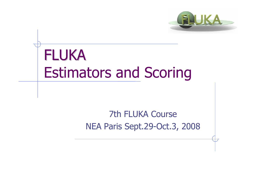

# FLUKA Estimators and Scoring

#### 7th FLUKA CourseNEA Paris Sept.29-Oct.3, 2008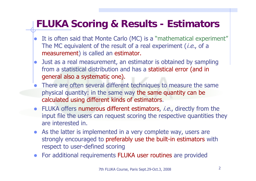#### **FLUKA Scoring & Results - Estimators**

- $\bullet$  It is often said that Monte Carlo (MC) is a "mathematical experiment" The MC equivalent of the result of a real experiment *(i.e.*, of a measurement) is called an estimator.
- $\bullet$  Just as a real measurement, an estimator is obtained by sampling from a statistical distribution and has a statistical error (and in general also a systematic one).
- $\bullet$  There are often several different techniques to measure the same physical quantity: in the same way the same quantity can be calculated using different kinds of estimators.
- FLUKA offers numerous different estimators, *i.e.*, directly from the input file the users can request scoring the respective quantities they are interested in.
- $\bullet$  As the latter is implemented in a very complete way, users are strongly encouraged to preferably use the built-in estimators with respect to user-defined scoring
- For additional requirements FLUKA user routines are provided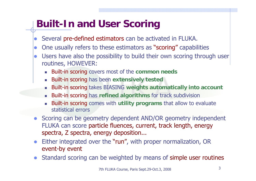### **Built-In and User Scoring**

- $\bullet$ Several pre-defined estimators can be activated in FLUKA.
- $\bullet$ One usually refers to these estimators as "scoring" capabilities
- $\bullet$  Users have also the possibility to build their own scoring through user routines, HOWEVER:
	- Built-in scoring covers most of the **common needs**
	- E Built-in scoring has been **extensively tested**
	- П Built-in scoring takes BIASING **weights automatically into account**
	- П Built-in scoring has **refined algorithms** for track subdivision
	- E Built-in scoring comes with **utility programs** that allow to evaluate statistical errors
- Scoring can be geometry dependent AND/OR geometry independent FLUKA can score particle fluences, current, track length, energy spectra, Z spectra, energy deposition...
- $\bullet$  Either integrated over the "run", with proper normalization, OR event-by event
- Standard scoring can be weighted by means of simple user routines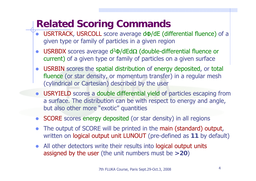#### **Related Scoring Commands**

- $\bullet$ • USRTRACK, USRCOLL score average d $\Phi$ /dE (differential fluence) of a given type or family of particles in a given region
- $\bullet$ • USRBDX scores average  $d^2\Phi/dEd\Omega$  (double-differential fluence or current) of a given type or family of particles on a given surface
- $\bullet$  USRBIN scores the spatial distribution of energy deposited, or total fluence (or star density, or momentum transfer) in a regular mesh (cylindrical or Cartesian) described by the user
- $\bullet$  USRYIELD scores a double differential yield of particles escaping from a surface. The distribution can be with respect to energy and angle, but also other more "exotic" quantities
- SCORE scores energy deposited (or star density) in all regions
- $\bullet$  The output of SCORE will be printed in the main (standard) output, written on logical output unit LUNOUT (pre-defined as **11** by default)
- $\bullet$  All other detectors write their results into logical output units assigned by the user (the unit numbers must be **>20** )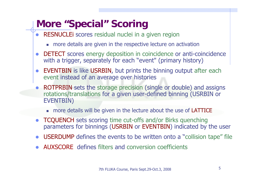#### **More "Special" Scoring**

- RESNUCLEI scores residual nuclei in a given region
	- more details are given in the respective lecture on activation
- $\bullet$  DETECT scores energy deposition in coincidence or anti-coincidence with a trigger, separately for each "event" (primary history)
- $\bullet$  EVENTBIN is like USRBIN, but prints the binning output after each event instead of an average over histories
- $\bullet$  ROTPRBIN sets the storage precision (single or double) and assigns rotations/translations for a given user-defined binning (USRBIN or EVENTBIN)
	- **number 10 and 10 and 10 and 10 and 10 and 10 and 10 and 10 and 10 and 10 and 10 and 10 and 10 and 10 and 10 and 10 and 10 and 10 and 10 and 10 and 10 and 10 and 10 and 10 and 10 and 10 and 10 and 10 and 10 and 10 and 10 a**
- $\bullet$  TCQUENCH sets scoring time cut-offs and/or Birks quenching parameters for binnings (USRBIN or EVENTBIN) indicated by the user
- $\bullet$ USERDUMP defines the events to be written onto a "collision tape" file
- $\bullet$ AUXSCORE defines filters and conversion coefficients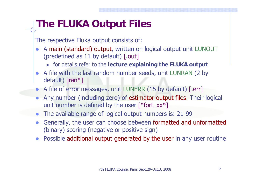#### **The FLUKA Output Files**

The respective Fluka output consists of:

- $\bullet$  A main (standard) output, written on logical output unit LUNOUT (predefined as 11 by default) [.out]
	- for details refer to the **lecture explaining the FLUKA output**
- A file with the last random number seeds, unit LUNRAN (2 by default) [ran\*]
- $\bullet$ A file of error messages, unit LUNERR (15 by default) [.err]
- $\bullet$  Any number (including zero) of estimator output files. Their logical unit number is defined by the user  $\lceil *$  fort\_xx $*$ ]
- $\bullet$ The available range of logical output numbers is: 21-99
- $\bullet$  Generally, the user can choose between formatted and unformatted (binary) scoring (negative or positive sign)
- $\bullet$ Possible additional output generated by the user in any user routine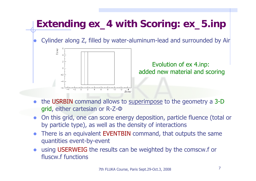## **Extending ex\_4 with Scoring: ex\_5.inp**

 $\bullet$ Cylinder along Z, filled by water-aluminum-lead and surrounded by Air



Evolution of ex 4.inp: added new material and scoring

- the USRBIN command allows to superimpose to the geometry a 3-D grid, either cartesian or R-Z-Φ
- $\bullet$  On this grid, one can score energy deposition, particle fluence (total or by particle type), as well as the density of interactions
- $\bullet$  There is an equivalent EVENTBIN command, that outputs the same quantities event-by-event
- $\bullet$  using USERWEIG the results can be weighted by the comscw.f or fluscw.f functions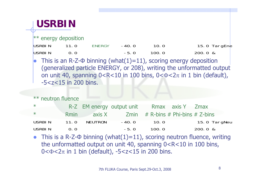#### **USRBIN**

 $*$  energy deposition

| USRBIN | 11.0 | ENERGY | $-40.0$ | 10.0  | 15.0 TargEne |
|--------|------|--------|---------|-------|--------------|
| USRBIN | 0.0  |        | $-5.0$  | 100.0 | $200.0 \&$   |

 $\bullet$ • This is an R-Z- $\Phi$  binning (what(1)=11), scoring energy deposition (generalized particle ENERGY, or 208), writing the unformatted output on unit 40, spanning  $0<$ R $<$ 10 in 100 bins,  $0<$  $\Phi$  $<$ 2 $\pi$  in 1 bin (default), -5<z<15 in 200 bins.

#### \*\* neutron fluence

| $\ast$        |      |         | R-Z EM energy output unit Rmax axis Y Zmax            |       |              |
|---------------|------|---------|-------------------------------------------------------|-------|--------------|
| $*$           |      |         | Rmin $axis X$ Zmin $#$ R-bins $#$ Phi-bins $#$ Z-bins |       |              |
| <b>USRBIN</b> | 11.0 | NEUTRON | $-40.0$                                               | 10.0  | 15.0 TargNeu |
| USRBIN        | 0.0  |         | $-5.0$                                                | 100.0 | $200.0 \&$   |

 $\bullet$ • This is a R-Z- $\Phi$  binning (what(1)=11), scoring neutron fluence, writing the unformatted output on unit 40, spanning 0<R<10 in 100 bins, 0< $\Phi$ <2 $\pi$  in 1 bin (default), -5<z<15 in 200 bins.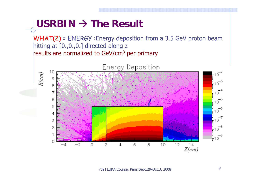#### USRBIN → The Result

 $R(cm)$ 

 $WHAT(2)$  = ENERGY : Energy deposition from a 3.5 GeV proton beam hitting at [0.,0.,0.] directed along z results are normalized to GeV/cm 3 per primary

Energy Deposition



7th FLUKA Course, Paris Sept.29-Oct.3, 2008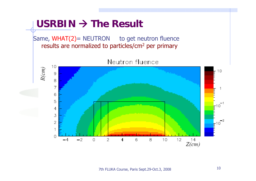#### USRBIN → The Result

Same,  $WHAT(2)$  = NEUTRON to get neutron fluence results are normalized to particles/cm 2 per primary



Neutron fluence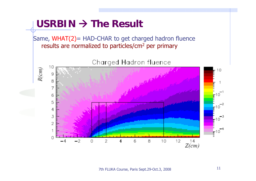#### USRBIN → The Result

Same, WHAT(2)= HAD-CHAR to get charged hadron fluence results are normalized to particles/cm 2 per primary



7th FLUKA Course, Paris Sept.29-Oct.3, 2008 11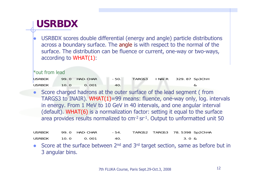#### **USRBDX**

z USRBDX scores double differential (energy and angle) particle distributions across a boundary surface. The angle is with respect to the normal of the surface. The distribution can be fluence or current, one-way or two-ways, according to WHAT(1):

\*out from lead

| USRBDX |         | 99.0 HAD-CHAR | -50. |  | TARGS3 INAIR 329.87 Sp3ChH |
|--------|---------|---------------|------|--|----------------------------|
| USRBDX | $-10.0$ | 0.001         | -40. |  |                            |

 $\bullet$  Score charged hadrons at the outer surface of the lead segment ( from TARGS3 to INAIR). WHAT $(1)$ =99 means: fluence, one-way only, log. intervals in energy. From 1 MeV to 10 GeV in 40 intervals, and one angular interval (default). WHAT(6) is a normalization factor: setting it equal to the surface area provides results normalized to cm-2 sr-1. Output to unformatted unit 50

USRBDX 99.0 HAD-CHAR -54. TARGS2 TARGS3 78.5398 Sp2ChHA USRBDX 10.0 0.001 40. 3.0 &

Score at the surface between  $2^{nd}$  and  $3^{rd}$  target section, same as before but in 3 angular bins.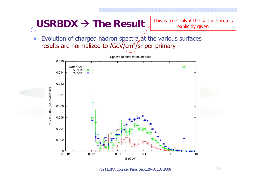

7th FLUKA Course, Paris Sept.29-Oct.3, 2008 13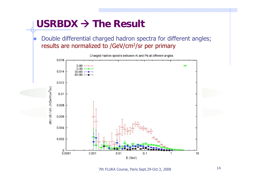#### USRBDX → The Result

 $\bullet$  Double differential charged hadron spectra for different angles; results are normalized to /GeV/cm 2/sr per primary



7th FLUKA Course, Paris Sept.29-Oct.3, 2008 <sup>14</sup>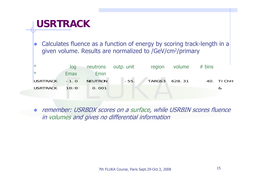#### **USRTRACK**

 $\bullet$  Calculates fluence as a function of energy by scoring track-length in a given volume. Results are normalized to /GeV/cm 2/primary

| <u> </u> *            |      |      |        | $log$ neutrons outp. unit region volume $# bins$ |  |           |
|-----------------------|------|------|--------|--------------------------------------------------|--|-----------|
| $\vert * \vert$       | Emax | Emin |        |                                                  |  |           |
| USRTRACK -1.0 NEUTRON |      |      | $-55.$ | TARGS3 628.31                                    |  | 40. TrChH |
| USRTRACK 10.0 0.001   |      |      |        |                                                  |  |           |

 $\bullet$  remember: USRBDX scores on a surface, while USRBIN scores fluence in volumes and gives no differential information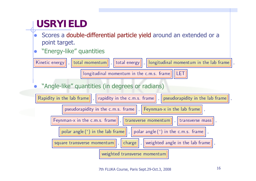### **USRYIELD**

- $\bullet$  Scores a double-differential particle yield around an extended or a point target.
- z"Energy-like" quantities

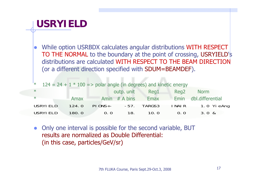#### **USRYIELD**

 $\bullet$  While option USRBDX calculates angular distributions WITH RESPECT TO THE NORMAL to the boundary at the point of crossing, USRYIELD's distributions are calculated WITH RESPECT TO THE BEAM DIRECTION (or a different direction specified with SDUM=BEAMDEF).

| <sup>*</sup> $124 = 24 + 1 * 100 \implies$ polar angle (in degrees) and kinetic energy |       |                           |               |      |                  |                       |
|----------------------------------------------------------------------------------------|-------|---------------------------|---------------|------|------------------|-----------------------|
| $\ast$                                                                                 |       |                           | outp. unit    | Reg1 | Reg <sub>2</sub> | Norm                  |
| $*$                                                                                    | Amax  |                           | Amin # A bins | Emax |                  | Emin dbl.differential |
| USRYI ELD                                                                              | 124.0 | $PI$ ONS+- $-57$ . TARGS3 |               |      |                  | INAIR 1.0 YieAng      |
| <b>USRYI ELD</b>                                                                       | 180.0 | 0.0                       | 18.           | 10.0 | 0.0              | 3.0 &                 |

 $\bullet$  Only one interval is possible for the second variable, BUT results are normalized as Double Differential:(in this case, particles/GeV/sr)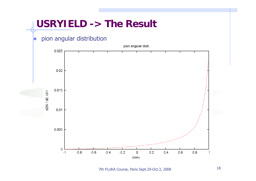#### **USRYIELD -> The Result** pion angular distribution  $\bullet$ pion angular distr. 0.025  $0.02$ 0.015  $d2N/dE/dO$  $0.01$ 0.005  $\Omega$  $-0.8$  $-0.6$  $-0.4$  $-0.2$  $0.2$  $0.4$  $0.6$  $0.8$ 0  $-1$  $\mathbf{1}$ coso

7th FLUKA Course, Paris Sept.29-Oct.3, 2008 18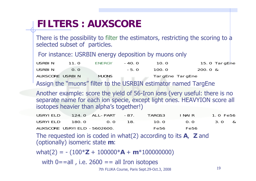### **FILTERS : AUXSCORE**

There is the possibility to filter the estimators, restricting the scoring to a selected subset of particles.

For instance: USRBIN energy deposition by muons only

| USRBIN          | 11.0                | ENERGY       | $-40.0$ | 10.0            | 15.0 TargEne |
|-----------------|---------------------|--------------|---------|-----------------|--------------|
| USRBIN          | $\Omega$ . $\Omega$ |              | $-5.0$  | 100.0           | 200.0 &      |
| AUXSCORE USRBIN |                     | <b>MUONS</b> |         | TargEne TargEne |              |

Assign the "muons" filter to the USRBIN estimator named TargEne

Another example: score the yield of 56-Iron ions (very useful: there is no separate name for each ion specie, except light ones. HEAVYION score all isotopes heavier than alpha's together!)

| USRYI ELD |        | 124.0 ALL-PART -87.         |      | TARGS3 | I NAI R | 1.0 Fe56 |  |
|-----------|--------|-----------------------------|------|--------|---------|----------|--|
| USRYI ELD | 180. Q | $\bigcap$ $\bigcap$         | -18. | 10.0   | (1, 1)  | 3.0 &    |  |
|           |        | AUXSCORE USRYIELD -5602600. |      | Fe56   | Fe56    |          |  |

The requested ion is coded in what(2) according to its **A**, **Z** and (optionally) isomeric state **m**:

what(2) = - (100\* **Z** + 100000\* **A** + **<sup>m</sup>**\*100000000)

with  $0 == all$ , i.e. 2600  $== all$  Iron isotopes

7th FLUKA Course, Paris Sept.29-Oct.3, 2008 19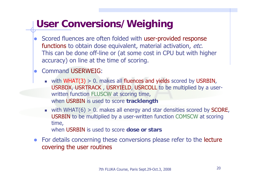#### **User Conversions/Weighing**

- Scored fluences are often folded with user-provided response functions to obtain dose equivalent, material activation, etc. This can be done off-line or (at some cost in CPU but with higher accuracy) on line at the time of scoring.
- Command USERWEIG:
	- with WHAT(3) > 0. makes all fluences and yields scored by USRBIN, USRBDX, USRTRACK , USRYIELD, USRCOLL to be multiplied by a userwritten function FLUSCW at scoring time, when USRBIN is used to score **tracklength**
	- $\blacksquare$  with WHAT(6) > 0. makes all energy and star densities scored by SCORE, USRBIN to be multiplied by a user-written function COMSCW at scoring time, when USRBIN is used to score **dose or stars**
- For details concerning these conversions please refer to the lecture covering the user routines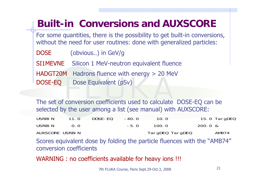#### **Built-in Conversions and AUXSCORE**

For some quantities, there is the possibility to get built-in conversions, without the need for user routines: done with generalized particles:

DOSE (obvious..) in GeV/g

SI1MEVNESilicon 1 MeV-neutron equivalent fluence

HADGT20M Hadrons fluence with energy > 20 MeV DOSE-EQ Dose Equivalent (pSv)

The set of conversion coefficients used to calculate DOSE-EQ can be selected by the user among a list (see manual) with AUXSCORE:

| USRBIN          | 11.0              | DOSE-EQ | $-40.0$ | 10.0            | 15.0 TargDEQ |
|-----------------|-------------------|---------|---------|-----------------|--------------|
| USRBIN          | $\Omega$ $\Omega$ |         | $-5.0$  | 100.0           | $200.0 \&$   |
| AUXSCORE USRBIN |                   |         |         | TargDEQ TargDEQ | AMB74        |

Scores equivalent dose by folding the particle fluences with the "AMB74" conversion coefficients

WARNING : no coefficients available for heavy ions !!!

7th FLUKA Course, Paris Sept.29-Oct.3, 2008 <sup>21</sup>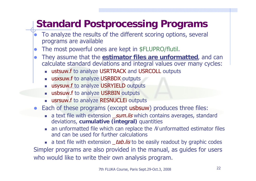### **Standard Postprocessing Programs**

- $\bullet$  To analyze the results of the different scoring options, several programs are available
- $\bullet$ The most powerful ones are kept in \$FLUPRO/flutil.
- $\bullet$  They assume that the **estimator files are unformatted**, and can calculate standard deviations and integral values over many cycles:
	- П ustsuw.f to analyze USRTRACK and USRCOLL outputs
	- **usxsuw.f** to analyze USRBDX outputs
	- **EX usysuw.f to analyze USRYIELD outputs**
	- П usbsuw.f to analyze USRBIN outputs
	- L usrsuw.f to analyze RESNUCLEi outputs
- $\bullet$  Each of these programs (except usbsuw) produces three files:
	- **a** a text file with extension *\_sum.lis* which contains averages, standard deviations, **cumulative (integral)** quantities
	- $\blacksquare$  an unformatted file which can replace the N unformatted estimator files and can be used for further calculations

**a** a text file with extension *\_tab.lis* to be easily readout by graphic codes Simpler programs are also provided in the manual, as guides for users who would like to write their own analysis program.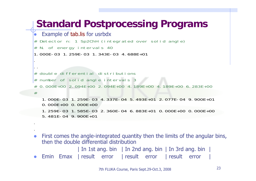#### **Standard Postprocessing Programs**

```
z Example of tab.lis for usrbdx
# Detector n: 1 Sp2ChH (integrated over solid angle)
# N. of energy intervals 40
1.000E-03 1.259E-03 1.343E-03 4.688E+01..# double differential distributions# number of solid angle intervals 3
# 0.000E+00 2.094E+00 2.094E+00 4.189E+00 4.189E+00 6.283E+00#1.000E-03 1.259E-03 4.337E-04 5.493E+01 2.077E-04 9.900E+01 0.000E+00 0.000E+001.259E-03 1.585E-03 2.360E-04 6.883E+01 0.000E+00 0.000E+005.481E-04 9.900E+01
```
- $\bullet$  First comes the angle-integrated quantity then the limits of the angular bins, then the double differential distribution| In 1st ang. bin | In 2nd ang. bin | In 3rd ang. bin |
- zEmin Emax | result error | result error | result error |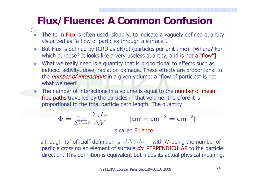#### **Flux/Fluence: A Common Confusion**

- $\bullet$ • The term Flux is often used, sloppily, to indicate a vaguely defined quantity visualized as "a flow of particles through a surface".
- **lo**  But Flux is defined by ICRU as dN/dt (particles per unit time). [Where? For which purpose? It looks like a very useless quantity, and is not a "flow"
- $\bullet$ What we really need is a quantity that is proportional to effects such as induced activity, dose, radiation damage. These effects are proportional to the *number of interactions* in a given volume: a "flow of particles" is not what we need!
- $\bullet$ The number of interactions in a volume is equal to the number of mean free paths travelled by the particles in that volume: therefore it is proportional to the total particle path length. The quantity

$$
\Phi = \lim_{\Delta V \to 0} \frac{\Sigma_i L_i}{\Delta V}
$$

$$
[\rm{cm}\times\rm{cm}^{-3}=\rm{cm}^{-2}]
$$

#### is called Fluence

although its "official" definition is  $\ dN/da_\perp$  with  $\bm{N}$  being the number of particle crossing an element of surface da PERPENDICULAR to the particle direction. This definition is equivalent but hides its actual physical meaning.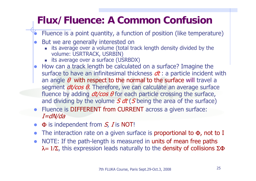#### **Flux/Fluence: A Common Confusion**

- $\bullet$ Fluence is a point quantity, a function of position (like temperature)
- $\bullet$  But we are generally interested on
	- its average over a volume (total track length density divided by the volume: USRTRACK, USRBIN)
	- **EXECT:** its average over a surface (USRBDX)
- $\bullet$  How can a track length be calculated on a surface? Imagine the surface to have an infinitesimal thickness  $dt$ : a particle incident with an angle  $\theta$  with respect to the normal to the surface will travel a segment *dt/cos θ.* Therefore, we can calculate an average surface fluence by adding *dt/cos θ* for each particle crossing the surface, and dividing by the volume S dt (S being the area of the surface)
- Fluence is DIFFERENT from CURRENT across a given surface: I=dN/da
- $\bullet$  $\Phi$  is independent from  $\mathcal{S}_{\!\scriptscriptstyle\mathcal{F}}$   $I$  is NOT!
- The interaction rate on a given surface is proportional to  $\Phi$ , not to I
- $\bullet$  NOTE: If the path-length is measured in units of mean free paths  $\lambda = 1/\Sigma$ , this expression leads naturally to the density of collisions  $\Sigma \Phi$